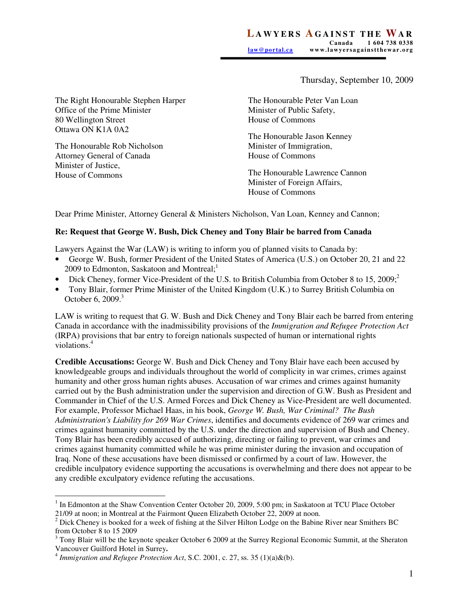Thursday, September 10, 2009

The Right Honourable Stephen Harper Office of the Prime Minister 80 Wellington Street Ottawa ON K1A 0A2

The Honourable Rob Nicholson Attorney General of Canada Minister of Justice, House of Commons

The Honourable Peter Van Loan Minister of Public Safety, House of Commons

The Honourable Jason Kenney Minister of Immigration, House of Commons

The Honourable Lawrence Cannon Minister of Foreign Affairs, House of Commons

Dear Prime Minister, Attorney General & Ministers Nicholson, Van Loan, Kenney and Cannon;

## **Re: Request that George W. Bush, Dick Cheney and Tony Blair be barred from Canada**

Lawyers Against the War (LAW) is writing to inform you of planned visits to Canada by:

- George W. Bush, former President of the United States of America (U.S.) on October 20, 21 and 22 2009 to Edmonton, Saskatoon and Montreal; $^1$
- Dick Cheney, former Vice-President of the U.S. to British Columbia from October 8 to 15, 2009; $^2$
- Tony Blair, former Prime Minister of the United Kingdom (U.K.) to Surrey British Columbia on October 6, 2009.<sup>3</sup>

LAW is writing to request that G. W. Bush and Dick Cheney and Tony Blair each be barred from entering Canada in accordance with the inadmissibility provisions of the *Immigration and Refugee Protection Act* (IRPA) provisions that bar entry to foreign nationals suspected of human or international rights violations.<sup>4</sup>

**Credible Accusations:** George W. Bush and Dick Cheney and Tony Blair have each been accused by knowledgeable groups and individuals throughout the world of complicity in war crimes, crimes against humanity and other gross human rights abuses. Accusation of war crimes and crimes against humanity carried out by the Bush administration under the supervision and direction of G.W. Bush as President and Commander in Chief of the U.S. Armed Forces and Dick Cheney as Vice-President are well documented. For example, Professor Michael Haas, in his book, *George W. Bush, War Criminal? The Bush Administration's Liability for 269 War Crimes*, identifies and documents evidence of 269 war crimes and crimes against humanity committed by the U.S. under the direction and supervision of Bush and Cheney. Tony Blair has been credibly accused of authorizing, directing or failing to prevent, war crimes and crimes against humanity committed while he was prime minister during the invasion and occupation of Iraq. None of these accusations have been dismissed or confirmed by a court of law. However, the credible inculpatory evidence supporting the accusations is overwhelming and there does not appear to be any credible exculpatory evidence refuting the accusations.

 $\overline{a}$ <sup>1</sup> In Edmonton at the Shaw Convention Center October 20, 2009, 5:00 pm; in Saskatoon at TCU Place October

<sup>21/09</sup> at noon; in Montreal at the Fairmont Queen Elizabeth October 22, 2009 at noon.<br><sup>2</sup> Dick Cheney is booked for a week of fishing at the Silver Hilton Lodge on the Babine River near Smithers BC from October 8 to 15 2009

 $3$  Tony Blair will be the keynote speaker October 6 2009 at the Surrey Regional Economic Summit, at the Sheraton Vancouver Guilford Hotel in Surrey**.** 

<sup>4</sup> *Immigration and Refugee Protection Act*, S.C. 2001, c. 27, ss. 35 (1)(a)&(b).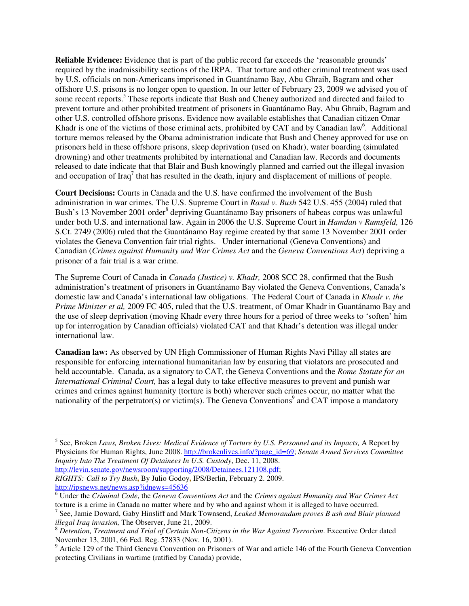**Reliable Evidence:** Evidence that is part of the public record far exceeds the 'reasonable grounds' required by the inadmissibility sections of the IRPA. That torture and other criminal treatment was used by U.S. officials on non-Americans imprisoned in Guantánamo Bay, Abu Ghraib, Bagram and other offshore U.S. prisons is no longer open to question. In our letter of February 23, 2009 we advised you of some recent reports.<sup>5</sup> These reports indicate that Bush and Cheney authorized and directed and failed to prevent torture and other prohibited treatment of prisoners in Guantánamo Bay, Abu Ghraib, Bagram and other U.S. controlled offshore prisons. Evidence now available establishes that Canadian citizen Omar Khadr is one of the victims of those criminal acts, prohibited by CAT and by Canadian law<sup>6</sup>. Additional torture memos released by the Obama administration indicate that Bush and Cheney approved for use on prisoners held in these offshore prisons, sleep deprivation (used on Khadr), water boarding (simulated drowning) and other treatments prohibited by international and Canadian law. Records and documents released to date indicate that that Blair and Bush knowingly planned and carried out the illegal invasion and occupation of Iraq<sup>7</sup> that has resulted in the death, injury and displacement of millions of people.

**Court Decisions:** Courts in Canada and the U.S. have confirmed the involvement of the Bush administration in war crimes. The U.S. Supreme Court in *Rasul v. Bush* 542 U.S. 455 (2004) ruled that Bush's 13 November 2001 order<sup>8</sup> depriving Guantánamo Bay prisoners of habeas corpus was unlawful under both U.S. and international law. Again in 2006 the U.S. Supreme Court in *Hamdan v Rumsfeld,* 126 S.Ct. 2749 (2006) ruled that the Guantánamo Bay regime created by that same 13 November 2001 order violates the Geneva Convention fair trial rights. Under international (Geneva Conventions) and Canadian (*Crimes against Humanity and War Crimes Act* and the *Geneva Conventions Act*) depriving a prisoner of a fair trial is a war crime.

The Supreme Court of Canada in *Canada (Justice) v. Khadr,* 2008 SCC 28, confirmed that the Bush administration's treatment of prisoners in Guantánamo Bay violated the Geneva Conventions, Canada's domestic law and Canada's international law obligations. The Federal Court of Canada in *Khadr v. the Prime Minister et al,* 2009 FC 405, ruled that the U.S. treatment, of Omar Khadr in Guantánamo Bay and the use of sleep deprivation (moving Khadr every three hours for a period of three weeks to 'soften' him up for interrogation by Canadian officials) violated CAT and that Khadr's detention was illegal under international law.

**Canadian law:** As observed by UN High Commissioner of Human Rights Navi Pillay all states are responsible for enforcing international humanitarian law by ensuring that violators are prosecuted and held accountable. Canada, as a signatory to CAT, the Geneva Conventions and the *Rome Statute for an International Criminal Court,* has a legal duty to take effective measures to prevent and punish war crimes and crimes against humanity (torture is both) wherever such crimes occur, no matter what the nationality of the perpetrator(s) or victim(s). The Geneva Conventions<sup>9</sup> and CAT impose a mandatory

*RIGHTS: Call to Try Bush***,** By Julio Godoy**,** IPS/Berlin, February 2. 2009. http://ipsnews.net/news.asp?idnews=45636

<sup>&</sup>lt;sup>5</sup> See, Broken *Laws, Broken Lives: Medical Evidence of Torture by U.S. Personnel and its Impacts, A Report by <i>Compaction* Physicians for Human Rights, June 2008. http://brokenlives.info/?page\_id=69; *Senate Armed Services Committee Inquiry Into The Treatment Of Detainees In U.S. Custody*, Dec. 11, 2008. http://levin.senate.gov/newsroom/supporting/2008/Detainees.121108.pdf;

<sup>6</sup> Under the *Criminal Code*, the *Geneva Conventions Act* and the *Crimes against Humanity and War Crimes Act*

torture is a crime in Canada no matter where and by who and against whom it is alleged to have occurred. 7 See, Jamie Doward, Gaby Hinsliff and Mark Townsend, *Leaked Memorandum proves B ush and Blair planned illegal Iraq invasion,* The Observer, June 21, 2009.

<sup>8</sup> *Detention, Treatment and Trial of Certain Non-Citizens in the War Against Terrorism*. Executive Order dated November 13, 2001, 66 Fed. Reg. 57833 (Nov. 16, 2001).

<sup>&</sup>lt;sup>9</sup> Article 129 of the Third Geneva Convention on Prisoners of War and article 146 of the Fourth Geneva Convention protecting Civilians in wartime (ratified by Canada) provide,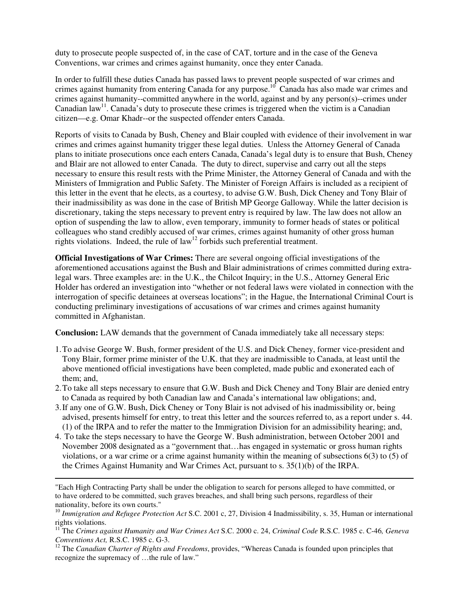duty to prosecute people suspected of, in the case of CAT, torture and in the case of the Geneva Conventions, war crimes and crimes against humanity, once they enter Canada.

In order to fulfill these duties Canada has passed laws to prevent people suspected of war crimes and crimes against humanity from entering Canada for any purpose.<sup>10</sup> Canada has also made war crimes and crimes against humanity--committed anywhere in the world, against and by any person(s)--crimes under Canadian  $\text{law}^{\text{11}}$ . Canada's duty to prosecute these crimes is triggered when the victim is a Canadian citizen—e.g. Omar Khadr--or the suspected offender enters Canada.

Reports of visits to Canada by Bush, Cheney and Blair coupled with evidence of their involvement in war crimes and crimes against humanity trigger these legal duties. Unless the Attorney General of Canada plans to initiate prosecutions once each enters Canada, Canada's legal duty is to ensure that Bush, Cheney and Blair are not allowed to enter Canada. The duty to direct, supervise and carry out all the steps necessary to ensure this result rests with the Prime Minister, the Attorney General of Canada and with the Ministers of Immigration and Public Safety. The Minister of Foreign Affairs is included as a recipient of this letter in the event that he elects, as a courtesy, to advise G.W. Bush, Dick Cheney and Tony Blair of their inadmissibility as was done in the case of British MP George Galloway. While the latter decision is discretionary, taking the steps necessary to prevent entry is required by law. The law does not allow an option of suspending the law to allow, even temporary, immunity to former heads of states or political colleagues who stand credibly accused of war crimes, crimes against humanity of other gross human rights violations. Indeed, the rule of  $law<sup>12</sup>$  forbids such preferential treatment.

**Official Investigations of War Crimes:** There are several ongoing official investigations of the aforementioned accusations against the Bush and Blair administrations of crimes committed during extralegal wars. Three examples are: in the U.K., the Chilcot Inquiry; in the U.S., Attorney General Eric Holder has ordered an investigation into "whether or not federal laws were violated in connection with the interrogation of specific detainees at overseas locations"; in the Hague, the International Criminal Court is conducting preliminary investigations of accusations of war crimes and crimes against humanity committed in Afghanistan.

**Conclusion:** LAW demands that the government of Canada immediately take all necessary steps:

- 1.To advise George W. Bush, former president of the U.S. and Dick Cheney, former vice-president and Tony Blair, former prime minister of the U.K. that they are inadmissible to Canada, at least until the above mentioned official investigations have been completed, made public and exonerated each of them; and,
- 2.To take all steps necessary to ensure that G.W. Bush and Dick Cheney and Tony Blair are denied entry to Canada as required by both Canadian law and Canada's international law obligations; and,
- 3.If any one of G.W. Bush, Dick Cheney or Tony Blair is not advised of his inadmissibility or, being advised, presents himself for entry, to treat this letter and the sources referred to, as a report under s. 44. (1) of the IRPA and to refer the matter to the Immigration Division for an admissibility hearing; and,
- 4. To take the steps necessary to have the George W. Bush administration, between October 2001 and November 2008 designated as a "government that…has engaged in systematic or gross human rights violations, or a war crime or a crime against humanity within the meaning of subsections 6(3) to (5) of the Crimes Against Humanity and War Crimes Act, pursuant to s. 35(1)(b) of the IRPA.

 $\overline{a}$ 

<sup>&</sup>quot;Each High Contracting Party shall be under the obligation to search for persons alleged to have committed, or to have ordered to be committed, such graves breaches, and shall bring such persons, regardless of their nationality, before its own courts."

<sup>&</sup>lt;sup>10</sup> *Immigration and Refugee Protection Act* S.C. 2001 c, 27, Division 4 Inadmissibility, s. 35, Human or international rights violations.

<sup>11</sup> The *Crimes against Humanity and War Crimes Act* S.C. 2000 c. 24, *Criminal Code* R.S.C. 1985 c. C-46*, Geneva Conventions Act,* R.S.C. 1985 c. G-3.

<sup>&</sup>lt;sup>12</sup> The *Canadian Charter of Rights and Freedoms*, provides, "Whereas Canada is founded upon principles that recognize the supremacy of …the rule of law."